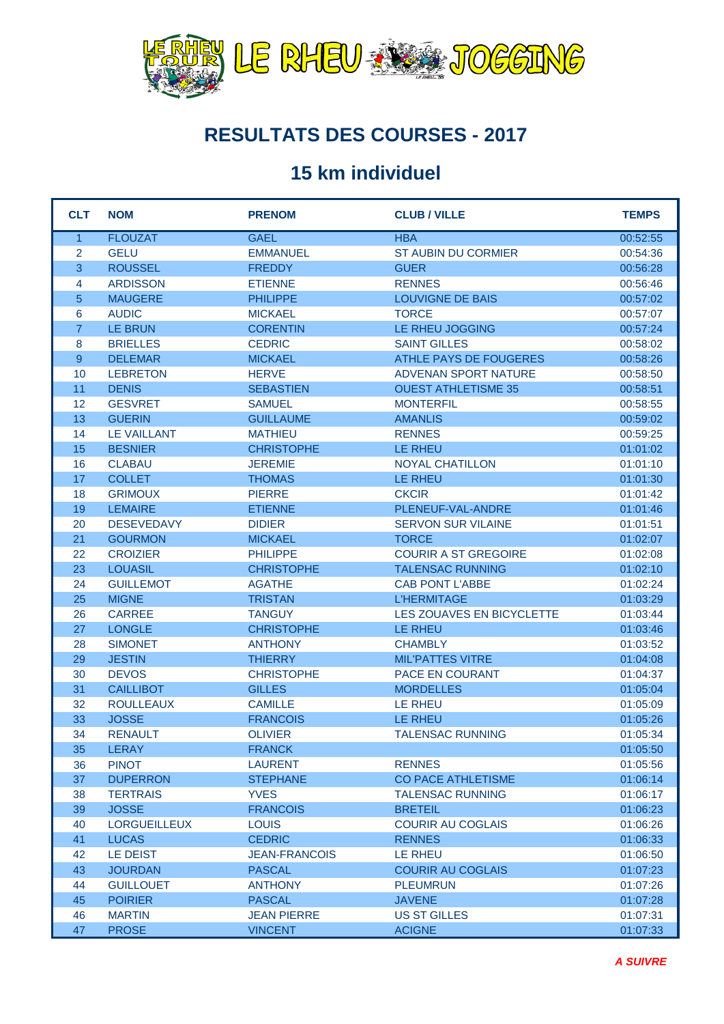

#### **RESULTATS DES COURSES - 2017**

#### **15 km individuel**

| <b>CLT</b>     | <b>NOM</b>          | <b>PRENOM</b>        | <b>CLUB / VILLE</b>         | <b>TEMPS</b> |
|----------------|---------------------|----------------------|-----------------------------|--------------|
| $\mathbf{1}$   | <b>FLOUZAT</b>      | <b>GAEL</b>          | <b>HBA</b>                  | 00:52:55     |
| $\overline{2}$ | <b>GELU</b>         | <b>EMMANUEL</b>      | ST AUBIN DU CORMIER         | 00:54:36     |
| $\overline{3}$ | <b>ROUSSEL</b>      | <b>FREDDY</b>        | <b>GUER</b>                 | 00:56:28     |
| $\overline{4}$ | <b>ARDISSON</b>     | <b>ETIENNE</b>       | <b>RENNES</b>               | 00:56:46     |
| $\overline{5}$ | <b>MAUGERE</b>      | <b>PHILIPPE</b>      | <b>LOUVIGNE DE BAIS</b>     | 00:57:02     |
| 6              | <b>AUDIC</b>        | <b>MICKAEL</b>       | <b>TORCE</b>                | 00:57:07     |
| $\overline{7}$ | LE BRUN             | <b>CORENTIN</b>      | LE RHEU JOGGING             | 00:57:24     |
| 8              | <b>BRIELLES</b>     | <b>CEDRIC</b>        | <b>SAINT GILLES</b>         | 00:58:02     |
| 9              | <b>DELEMAR</b>      | <b>MICKAEL</b>       | ATHLE PAYS DE FOUGERES      | 00:58:26     |
| 10             | <b>LEBRETON</b>     | <b>HERVE</b>         | <b>ADVENAN SPORT NATURE</b> | 00:58:50     |
| 11             | <b>DENIS</b>        | <b>SEBASTIEN</b>     | <b>OUEST ATHLETISME 35</b>  | 00:58:51     |
| 12             | <b>GESVRET</b>      | <b>SAMUEL</b>        | <b>MONTERFIL</b>            | 00:58:55     |
| 13             | <b>GUERIN</b>       | <b>GUILLAUME</b>     | <b>AMANLIS</b>              | 00:59:02     |
| 14             | <b>LE VAILLANT</b>  | <b>MATHIEU</b>       | <b>RENNES</b>               | 00:59:25     |
| 15             | <b>BESNIER</b>      | <b>CHRISTOPHE</b>    | <b>LE RHEU</b>              | 01:01:02     |
| 16             | <b>CLABAU</b>       | <b>JEREMIE</b>       | <b>NOYAL CHATILLON</b>      | 01:01:10     |
| 17             | <b>COLLET</b>       | <b>THOMAS</b>        | <b>LE RHEU</b>              | 01:01:30     |
| 18             | <b>GRIMOUX</b>      | <b>PIERRE</b>        | <b>CKCIR</b>                | 01:01:42     |
| 19             | <b>LEMAIRE</b>      | <b>ETIENNE</b>       | PLENEUF-VAL-ANDRE           | 01:01:46     |
| 20             | <b>DESEVEDAVY</b>   | <b>DIDIER</b>        | <b>SERVON SUR VILAINE</b>   | 01:01:51     |
| 21             | <b>GOURMON</b>      | <b>MICKAEL</b>       | <b>TORCE</b>                | 01:02:07     |
| 22             | <b>CROIZIER</b>     | <b>PHILIPPE</b>      | <b>COURIR A ST GREGOIRE</b> | 01:02:08     |
| 23             | <b>LOUASIL</b>      | <b>CHRISTOPHE</b>    | <b>TALENSAC RUNNING</b>     | 01:02:10     |
| 24             | <b>GUILLEMOT</b>    | <b>AGATHE</b>        | <b>CAB PONT L'ABBE</b>      | 01:02:24     |
| 25             | <b>MIGNE</b>        | <b>TRISTAN</b>       | <b>L'HERMITAGE</b>          | 01:03:29     |
| 26             | <b>CARREE</b>       | <b>TANGUY</b>        | LES ZOUAVES EN BICYCLETTE   | 01:03:44     |
| 27             | <b>LONGLE</b>       | <b>CHRISTOPHE</b>    | <b>LE RHEU</b>              | 01:03:46     |
| 28             | <b>SIMONET</b>      | <b>ANTHONY</b>       | <b>CHAMBLY</b>              | 01:03:52     |
| 29             | <b>JESTIN</b>       | <b>THIERRY</b>       | <b>MIL'PATTES VITRE</b>     | 01:04:08     |
| 30             | <b>DEVOS</b>        | <b>CHRISTOPHE</b>    | <b>PACE EN COURANT</b>      | 01:04:37     |
| 31             | <b>CAILLIBOT</b>    | <b>GILLES</b>        | <b>MORDELLES</b>            | 01:05:04     |
| 32             | <b>ROULLEAUX</b>    | <b>CAMILLE</b>       | LE RHEU                     | 01:05:09     |
| 33             | <b>JOSSE</b>        | <b>FRANCOIS</b>      | <b>LE RHEU</b>              | 01:05:26     |
| 34             | <b>RENAULT</b>      | <b>OLIVIER</b>       | <b>TALENSAC RUNNING</b>     | 01:05:34     |
| 35             | <b>LERAY</b>        | <b>FRANCK</b>        |                             | 01:05:50     |
| 36             | <b>PINOT</b>        | <b>LAURENT</b>       | <b>RENNES</b>               | 01:05:56     |
| 37             | <b>DUPERRON</b>     | <b>STEPHANE</b>      | <b>CO PACE ATHLETISME</b>   | 01:06:14     |
| 38             | <b>TERTRAIS</b>     | <b>YVES</b>          | <b>TALENSAC RUNNING</b>     | 01:06:17     |
| 39             | <b>JOSSE</b>        | <b>FRANCOIS</b>      | <b>BRETEIL</b>              | 01:06:23     |
| 40             | <b>LORGUEILLEUX</b> | <b>LOUIS</b>         | <b>COURIR AU COGLAIS</b>    | 01:06:26     |
| 41             | <b>LUCAS</b>        | <b>CEDRIC</b>        | <b>RENNES</b>               | 01:06:33     |
| 42             | LE DEIST            | <b>JEAN-FRANCOIS</b> | LE RHEU                     | 01:06:50     |
| 43             | <b>JOURDAN</b>      | <b>PASCAL</b>        | <b>COURIR AU COGLAIS</b>    | 01:07:23     |
| 44             | <b>GUILLOUET</b>    | <b>ANTHONY</b>       | <b>PLEUMRUN</b>             | 01:07:26     |
| 45             | <b>POIRIER</b>      | <b>PASCAL</b>        | <b>JAVENE</b>               | 01:07:28     |
| 46             | <b>MARTIN</b>       | <b>JEAN PIERRE</b>   | <b>US ST GILLES</b>         | 01:07:31     |
| 47             | <b>PROSE</b>        | <b>VINCENT</b>       | <b>ACIGNE</b>               | 01:07:33     |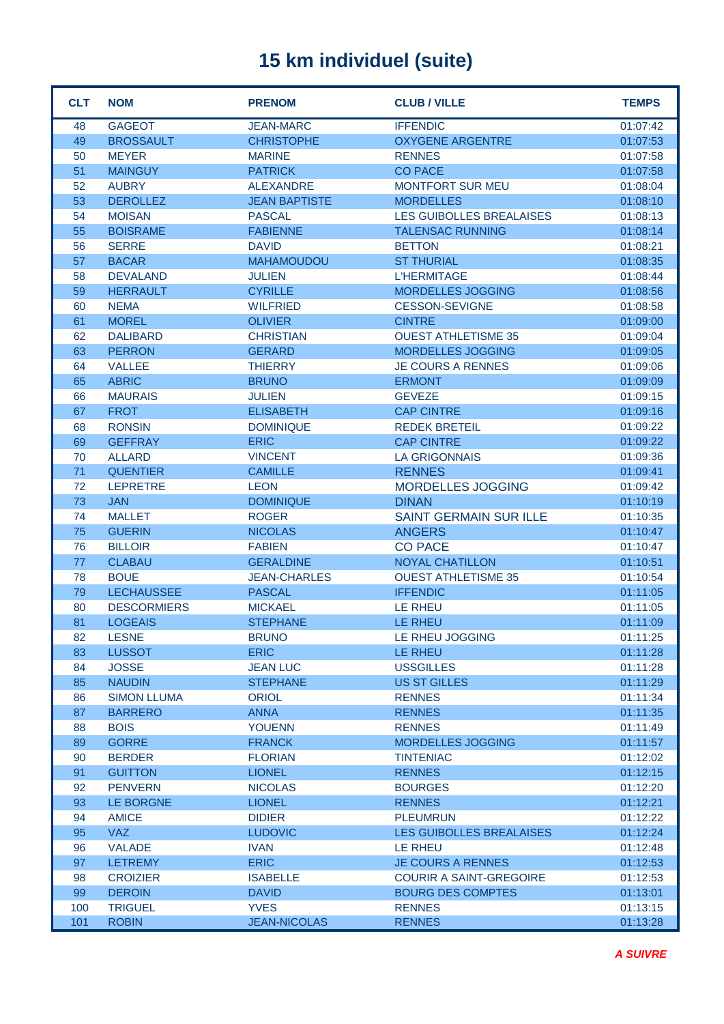| <b>CLT</b> | <b>NOM</b>         | <b>PRENOM</b>        | <b>CLUB / VILLE</b>             | <b>TEMPS</b> |
|------------|--------------------|----------------------|---------------------------------|--------------|
| 48         | <b>GAGEOT</b>      | <b>JEAN-MARC</b>     | <b>IFFENDIC</b>                 | 01:07:42     |
| 49         | <b>BROSSAULT</b>   | <b>CHRISTOPHE</b>    | <b>OXYGENE ARGENTRE</b>         | 01:07:53     |
| 50         | <b>MEYER</b>       | <b>MARINE</b>        | <b>RENNES</b>                   | 01:07:58     |
| 51         | <b>MAINGUY</b>     | <b>PATRICK</b>       | <b>CO PACE</b>                  | 01:07:58     |
| 52         | <b>AUBRY</b>       | <b>ALEXANDRE</b>     | <b>MONTFORT SUR MEU</b>         | 01:08:04     |
| 53         | <b>DEROLLEZ</b>    | <b>JEAN BAPTISTE</b> | <b>MORDELLES</b>                | 01:08:10     |
| 54         | <b>MOISAN</b>      | <b>PASCAL</b>        | <b>LES GUIBOLLES BREALAISES</b> | 01:08:13     |
| 55         | <b>BOISRAME</b>    | <b>FABIENNE</b>      | <b>TALENSAC RUNNING</b>         | 01:08:14     |
| 56         | <b>SERRE</b>       | <b>DAVID</b>         | <b>BETTON</b>                   | 01:08:21     |
| 57         | <b>BACAR</b>       | <b>MAHAMOUDOU</b>    | <b>ST THURIAL</b>               | 01:08:35     |
| 58         | <b>DEVALAND</b>    | <b>JULIEN</b>        | <b>L'HERMITAGE</b>              | 01:08:44     |
| 59         | <b>HERRAULT</b>    | <b>CYRILLE</b>       | <b>MORDELLES JOGGING</b>        | 01:08:56     |
| 60         | <b>NEMA</b>        | <b>WILFRIED</b>      | <b>CESSON-SEVIGNE</b>           | 01:08:58     |
| 61         | <b>MOREL</b>       | <b>OLIVIER</b>       | <b>CINTRE</b>                   | 01:09:00     |
| 62         | <b>DALIBARD</b>    | <b>CHRISTIAN</b>     | <b>OUEST ATHLETISME 35</b>      | 01:09:04     |
| 63         | <b>PERRON</b>      | <b>GERARD</b>        | <b>MORDELLES JOGGING</b>        | 01:09:05     |
| 64         | <b>VALLEE</b>      | <b>THIERRY</b>       | <b>JE COURS A RENNES</b>        | 01:09:06     |
| 65         | <b>ABRIC</b>       | <b>BRUNO</b>         | <b>ERMONT</b>                   | 01:09:09     |
| 66         | <b>MAURAIS</b>     | <b>JULIEN</b>        | <b>GEVEZE</b>                   | 01:09:15     |
| 67         | <b>FROT</b>        | <b>ELISABETH</b>     | <b>CAP CINTRE</b>               | 01:09:16     |
| 68         | <b>RONSIN</b>      | <b>DOMINIQUE</b>     | <b>REDEK BRETEIL</b>            | 01:09:22     |
| 69         | <b>GEFFRAY</b>     | <b>ERIC</b>          | <b>CAP CINTRE</b>               | 01:09:22     |
| 70         | <b>ALLARD</b>      | <b>VINCENT</b>       | <b>LA GRIGONNAIS</b>            | 01:09:36     |
| 71         | <b>QUENTIER</b>    | <b>CAMILLE</b>       | <b>RENNES</b>                   | 01:09:41     |
| 72         | <b>LEPRETRE</b>    | <b>LEON</b>          | <b>MORDELLES JOGGING</b>        | 01:09:42     |
| 73         | <b>JAN</b>         | <b>DOMINIQUE</b>     | <b>DINAN</b>                    | 01:10:19     |
| 74         | <b>MALLET</b>      | <b>ROGER</b>         | <b>SAINT GERMAIN SUR ILLE</b>   | 01:10:35     |
| 75         | <b>GUERIN</b>      | <b>NICOLAS</b>       | <b>ANGERS</b>                   | 01:10:47     |
| 76         | <b>BILLOIR</b>     | <b>FABIEN</b>        | <b>CO PACE</b>                  | 01:10:47     |
| 77         | <b>CLABAU</b>      | <b>GERALDINE</b>     | <b>NOYAL CHATILLON</b>          | 01:10:51     |
| 78         | <b>BOUE</b>        | <b>JEAN-CHARLES</b>  | <b>OUEST ATHLETISME 35</b>      | 01:10:54     |
| 79         | <b>LECHAUSSEE</b>  | <b>PASCAL</b>        | <b>IFFENDIC</b>                 | 01:11:05     |
| 80         | <b>DESCORMIERS</b> | <b>MICKAEL</b>       | LE RHEU                         | 01:11:05     |
| 81         | <b>LOGEAIS</b>     | <b>STEPHANE</b>      | <b>LE RHEU</b>                  | 01:11:09     |
| 82         | <b>LESNE</b>       | <b>BRUNO</b>         | LE RHEU JOGGING                 | 01:11:25     |
| 83         | <b>LUSSOT</b>      | <b>ERIC</b>          | <b>LE RHEU</b>                  | 01:11:28     |
| 84         | <b>JOSSE</b>       | <b>JEAN LUC</b>      | <b>USSGILLES</b>                | 01:11:28     |
| 85         | <b>NAUDIN</b>      | <b>STEPHANE</b>      | <b>US ST GILLES</b>             | 01:11:29     |
| 86         | <b>SIMON LLUMA</b> | <b>ORIOL</b>         | <b>RENNES</b>                   | 01:11:34     |
| 87         | <b>BARRERO</b>     | <b>ANNA</b>          | <b>RENNES</b>                   | 01:11:35     |
| 88         | <b>BOIS</b>        | <b>YOUENN</b>        | <b>RENNES</b>                   | 01:11:49     |
| 89         | <b>GORRE</b>       | <b>FRANCK</b>        | <b>MORDELLES JOGGING</b>        | 01:11:57     |
| 90         | <b>BERDER</b>      | <b>FLORIAN</b>       | <b>TINTENIAC</b>                | 01:12:02     |
| 91         | <b>GUITTON</b>     | <b>LIONEL</b>        | <b>RENNES</b>                   | 01:12:15     |
| 92         | <b>PENVERN</b>     | <b>NICOLAS</b>       | <b>BOURGES</b>                  | 01:12:20     |
| 93         | LE BORGNE          | <b>LIONEL</b>        | <b>RENNES</b>                   | 01:12:21     |
| 94         | <b>AMICE</b>       | <b>DIDIER</b>        | <b>PLEUMRUN</b>                 | 01:12:22     |
| 95         | <b>VAZ</b>         | <b>LUDOVIC</b>       | LES GUIBOLLES BREALAISES        | 01:12:24     |
| 96         | <b>VALADE</b>      | <b>IVAN</b>          | LE RHEU                         | 01:12:48     |
| 97         | <b>LETREMY</b>     | <b>ERIC</b>          | <b>JE COURS A RENNES</b>        | 01:12:53     |
| 98         | <b>CROIZIER</b>    | <b>ISABELLE</b>      | <b>COURIR A SAINT-GREGOIRE</b>  | 01:12:53     |
| 99         | <b>DEROIN</b>      | <b>DAVID</b>         | <b>BOURG DES COMPTES</b>        | 01:13:01     |
| 100        | <b>TRIGUEL</b>     | <b>YVES</b>          | <b>RENNES</b>                   | 01:13:15     |
| 101        | <b>ROBIN</b>       | <b>JEAN-NICOLAS</b>  | <b>RENNES</b>                   | 01:13:28     |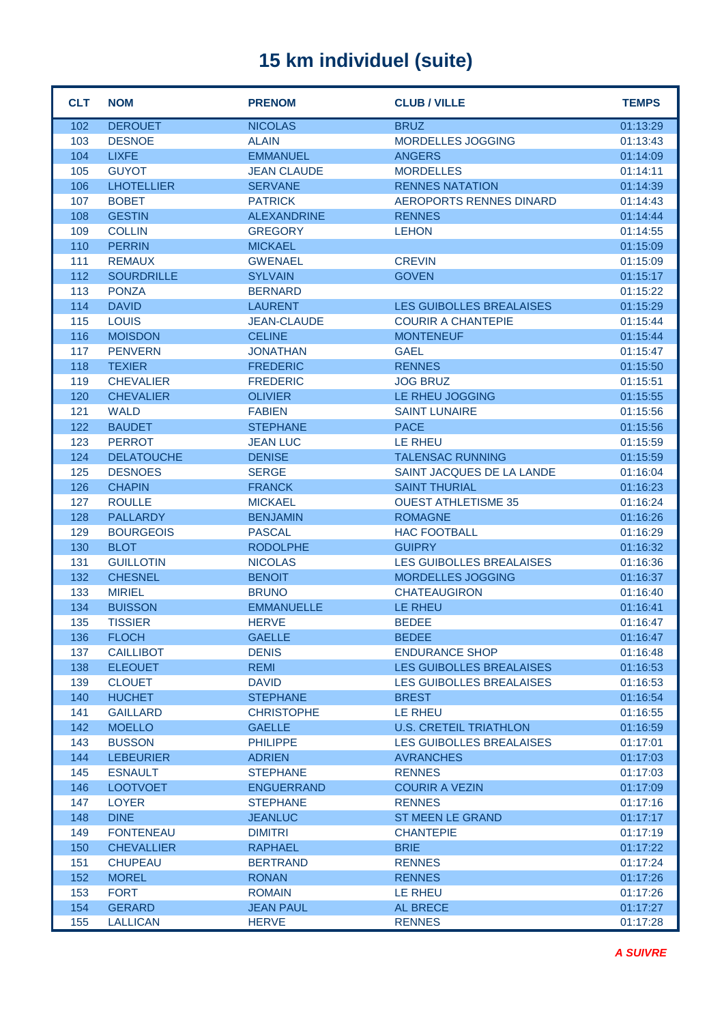| <b>CLT</b> | <b>NOM</b>        | <b>PRENOM</b>      | <b>CLUB / VILLE</b>             | <b>TEMPS</b> |
|------------|-------------------|--------------------|---------------------------------|--------------|
| 102        | <b>DEROUET</b>    | <b>NICOLAS</b>     | <b>BRUZ</b>                     | 01:13:29     |
| 103        | <b>DESNOE</b>     | <b>ALAIN</b>       | <b>MORDELLES JOGGING</b>        | 01:13:43     |
| 104        | <b>LIXFE</b>      | <b>EMMANUEL</b>    | <b>ANGERS</b>                   | 01:14:09     |
| 105        | <b>GUYOT</b>      | <b>JEAN CLAUDE</b> | <b>MORDELLES</b>                | 01:14:11     |
| 106        | <b>LHOTELLIER</b> | <b>SERVANE</b>     | <b>RENNES NATATION</b>          | 01:14:39     |
| 107        | <b>BOBET</b>      | <b>PATRICK</b>     | <b>AEROPORTS RENNES DINARD</b>  | 01:14:43     |
| 108        | <b>GESTIN</b>     | <b>ALEXANDRINE</b> | <b>RENNES</b>                   | 01:14:44     |
| 109        | <b>COLLIN</b>     | <b>GREGORY</b>     | <b>LEHON</b>                    | 01:14:55     |
| 110        | <b>PERRIN</b>     | <b>MICKAEL</b>     |                                 | 01:15:09     |
| 111        | <b>REMAUX</b>     | <b>GWENAEL</b>     | <b>CREVIN</b>                   | 01:15:09     |
| 112        | <b>SOURDRILLE</b> | <b>SYLVAIN</b>     | <b>GOVEN</b>                    | 01:15:17     |
| 113        | <b>PONZA</b>      | <b>BERNARD</b>     |                                 | 01:15:22     |
| 114        | <b>DAVID</b>      | <b>LAURENT</b>     | <b>LES GUIBOLLES BREALAISES</b> | 01:15:29     |
| 115        | <b>LOUIS</b>      | <b>JEAN-CLAUDE</b> | <b>COURIR A CHANTEPIE</b>       | 01:15:44     |
| 116        | <b>MOISDON</b>    | <b>CELINE</b>      | <b>MONTENEUF</b>                | 01:15:44     |
| 117        | <b>PENVERN</b>    | <b>JONATHAN</b>    | <b>GAEL</b>                     | 01:15:47     |
| 118        | <b>TEXIER</b>     | <b>FREDERIC</b>    | <b>RENNES</b>                   | 01:15:50     |
| 119        | <b>CHEVALIER</b>  | <b>FREDERIC</b>    | <b>JOG BRUZ</b>                 | 01:15:51     |
| 120        | <b>CHEVALIER</b>  | <b>OLIVIER</b>     | LE RHEU JOGGING                 | 01:15:55     |
| 121        | <b>WALD</b>       | <b>FABIEN</b>      | <b>SAINT LUNAIRE</b>            | 01:15:56     |
| 122        | <b>BAUDET</b>     | <b>STEPHANE</b>    | <b>PACE</b>                     | 01:15:56     |
| 123        | <b>PERROT</b>     | <b>JEAN LUC</b>    | LE RHEU                         | 01:15:59     |
| 124        | <b>DELATOUCHE</b> | <b>DENISE</b>      | <b>TALENSAC RUNNING</b>         | 01:15:59     |
| 125        | <b>DESNOES</b>    | <b>SERGE</b>       | SAINT JACQUES DE LA LANDE       | 01:16:04     |
| 126        | <b>CHAPIN</b>     | <b>FRANCK</b>      | <b>SAINT THURIAL</b>            | 01:16:23     |
| 127        | <b>ROULLE</b>     | <b>MICKAEL</b>     | <b>OUEST ATHLETISME 35</b>      | 01:16:24     |
| 128        | <b>PALLARDY</b>   | <b>BENJAMIN</b>    | <b>ROMAGNE</b>                  | 01:16:26     |
| 129        | <b>BOURGEOIS</b>  | <b>PASCAL</b>      | <b>HAC FOOTBALL</b>             | 01:16:29     |
| 130        | <b>BLOT</b>       | <b>RODOLPHE</b>    | <b>GUIPRY</b>                   | 01:16:32     |
| 131        | <b>GUILLOTIN</b>  | <b>NICOLAS</b>     | LES GUIBOLLES BREALAISES        | 01:16:36     |
| 132        | <b>CHESNEL</b>    | <b>BENOIT</b>      | <b>MORDELLES JOGGING</b>        | 01:16:37     |
| 133        | <b>MIRIEL</b>     | <b>BRUNO</b>       | <b>CHATEAUGIRON</b>             | 01:16:40     |
| 134        | <b>BUISSON</b>    | <b>EMMANUELLE</b>  | LE RHEU                         | 01:16:41     |
| 135        | <b>TISSIER</b>    | <b>HERVE</b>       | <b>BEDEE</b>                    | 01:16:47     |
| 136        | <b>FLOCH</b>      | <b>GAELLE</b>      | <b>BEDEE</b>                    | 01:16:47     |
| 137        | <b>CAILLIBOT</b>  | <b>DENIS</b>       | <b>ENDURANCE SHOP</b>           | 01:16:48     |
| 138        | <b>ELEOUET</b>    | <b>REMI</b>        | <b>LES GUIBOLLES BREALAISES</b> | 01:16:53     |
| 139        | <b>CLOUET</b>     | <b>DAVID</b>       | LES GUIBOLLES BREALAISES        | 01:16:53     |
| 140        | <b>HUCHET</b>     | <b>STEPHANE</b>    | <b>BREST</b>                    | 01:16:54     |
| 141        | <b>GAILLARD</b>   | <b>CHRISTOPHE</b>  | LE RHEU                         | 01:16:55     |
| 142        | <b>MOELLO</b>     | <b>GAELLE</b>      | <b>U.S. CRETEIL TRIATHLON</b>   | 01:16:59     |
| 143        | <b>BUSSON</b>     | <b>PHILIPPE</b>    | <b>LES GUIBOLLES BREALAISES</b> | 01:17:01     |
| 144        | <b>LEBEURIER</b>  | <b>ADRIEN</b>      | <b>AVRANCHES</b>                | 01:17:03     |
| 145        | <b>ESNAULT</b>    | <b>STEPHANE</b>    | <b>RENNES</b>                   | 01:17:03     |
| 146        | <b>LOOTVOET</b>   | <b>ENGUERRAND</b>  | <b>COURIR A VEZIN</b>           | 01:17:09     |
| 147        | <b>LOYER</b>      | <b>STEPHANE</b>    | <b>RENNES</b>                   | 01:17:16     |
| 148        | <b>DINE</b>       | <b>JEANLUC</b>     | <b>ST MEEN LE GRAND</b>         | 01:17:17     |
| 149        | <b>FONTENEAU</b>  | <b>DIMITRI</b>     | <b>CHANTEPIE</b>                | 01:17:19     |
| 150        | <b>CHEVALLIER</b> | <b>RAPHAEL</b>     | <b>BRIE</b>                     | 01:17:22     |
| 151        | <b>CHUPEAU</b>    | <b>BERTRAND</b>    | <b>RENNES</b>                   | 01:17:24     |
| 152        | <b>MOREL</b>      | <b>RONAN</b>       | <b>RENNES</b>                   | 01:17:26     |
| 153        | <b>FORT</b>       | <b>ROMAIN</b>      | LE RHEU                         | 01:17:26     |
| 154        | <b>GERARD</b>     | <b>JEAN PAUL</b>   | AL BRECE                        | 01:17:27     |
| 155        | <b>LALLICAN</b>   | <b>HERVE</b>       | <b>RENNES</b>                   | 01:17:28     |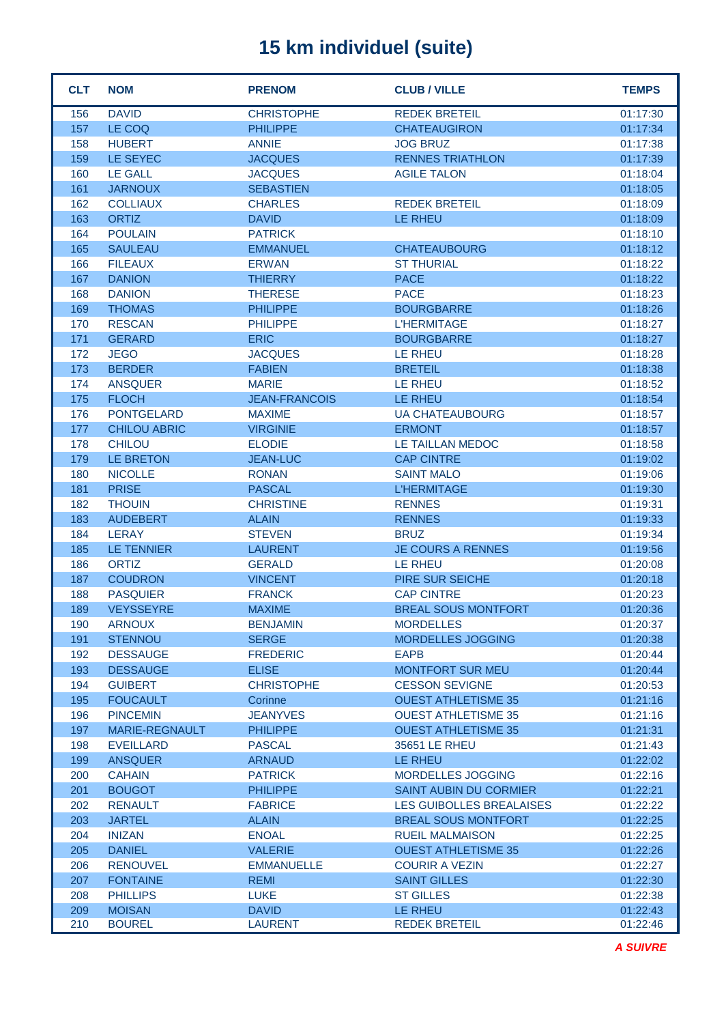| <b>CLT</b> | <b>NOM</b>                     | <b>PRENOM</b>                  | <b>CLUB / VILLE</b>             | <b>TEMPS</b>         |
|------------|--------------------------------|--------------------------------|---------------------------------|----------------------|
| 156        | <b>DAVID</b>                   | <b>CHRISTOPHE</b>              | <b>REDEK BRETEIL</b>            | 01:17:30             |
| 157        | LE COQ                         | <b>PHILIPPE</b>                | <b>CHATEAUGIRON</b>             | 01:17:34             |
| 158        | <b>HUBERT</b>                  | <b>ANNIE</b>                   | <b>JOG BRUZ</b>                 | 01:17:38             |
| 159        | LE SEYEC                       | <b>JACQUES</b>                 | <b>RENNES TRIATHLON</b>         | 01:17:39             |
| 160        | <b>LE GALL</b>                 | <b>JACQUES</b>                 | <b>AGILE TALON</b>              | 01:18:04             |
| 161        | <b>JARNOUX</b>                 | <b>SEBASTIEN</b>               |                                 | 01:18:05             |
| 162        | <b>COLLIAUX</b>                | <b>CHARLES</b>                 | <b>REDEK BRETEIL</b>            | 01:18:09             |
| 163        | <b>ORTIZ</b>                   | <b>DAVID</b>                   | <b>LE RHEU</b>                  | 01:18:09             |
| 164        | <b>POULAIN</b>                 | <b>PATRICK</b>                 |                                 | 01:18:10             |
| 165        | <b>SAULEAU</b>                 | <b>EMMANUEL</b>                | <b>CHATEAUBOURG</b>             | 01:18:12             |
| 166        | <b>FILEAUX</b>                 | <b>ERWAN</b>                   | <b>ST THURIAL</b>               | 01:18:22             |
| 167        | <b>DANION</b>                  | <b>THIERRY</b>                 | <b>PACE</b>                     | 01:18:22             |
| 168        | <b>DANION</b>                  | <b>THERESE</b>                 | <b>PACE</b>                     | 01:18:23             |
| 169        | <b>THOMAS</b>                  | <b>PHILIPPE</b>                | <b>BOURGBARRE</b>               | 01:18:26             |
| 170        | <b>RESCAN</b>                  | <b>PHILIPPE</b>                | <b>L'HERMITAGE</b>              | 01:18:27             |
| 171        | <b>GERARD</b>                  | <b>ERIC</b>                    | <b>BOURGBARRE</b>               | 01:18:27             |
| 172        | <b>JEGO</b>                    | <b>JACQUES</b>                 | <b>LE RHEU</b>                  | 01:18:28             |
| 173        | <b>BERDER</b>                  | <b>FABIEN</b>                  | <b>BRETEIL</b>                  | 01:18:38             |
| 174        | <b>ANSQUER</b>                 | <b>MARIE</b>                   | <b>LE RHEU</b>                  | 01:18:52             |
| 175        | <b>FLOCH</b>                   | <b>JEAN-FRANCOIS</b>           | <b>LE RHEU</b>                  | 01:18:54             |
| 176        | <b>PONTGELARD</b>              | <b>MAXIME</b>                  | <b>UA CHATEAUBOURG</b>          | 01:18:57             |
| 177        | <b>CHILOU ABRIC</b>            | <b>VIRGINIE</b>                | <b>ERMONT</b>                   | 01:18:57             |
| 178        | <b>CHILOU</b>                  | <b>ELODIE</b>                  | LE TAILLAN MEDOC                | 01:18:58             |
| 179        | LE BRETON                      | <b>JEAN-LUC</b>                | <b>CAP CINTRE</b>               | 01:19:02             |
| 180        | <b>NICOLLE</b>                 | <b>RONAN</b>                   | <b>SAINT MALO</b>               | 01:19:06             |
| 181        | <b>PRISE</b>                   | <b>PASCAL</b>                  | <b>L'HERMITAGE</b>              | 01:19:30             |
| 182        | <b>THOUIN</b>                  | <b>CHRISTINE</b>               | <b>RENNES</b>                   | 01:19:31             |
| 183        | <b>AUDEBERT</b>                | <b>ALAIN</b>                   | <b>RENNES</b>                   | 01:19:33             |
| 184        | <b>LERAY</b>                   | <b>STEVEN</b>                  | <b>BRUZ</b>                     | 01:19:34             |
| 185        | <b>LE TENNIER</b>              | <b>LAURENT</b>                 | <b>JE COURS A RENNES</b>        | 01:19:56             |
| 186        | <b>ORTIZ</b>                   | <b>GERALD</b>                  | <b>LE RHEU</b>                  | 01:20:08             |
| 187        | <b>COUDRON</b>                 | <b>VINCENT</b>                 | PIRE SUR SEICHE                 | 01:20:18             |
| 188        | <b>PASQUIER</b>                | <b>FRANCK</b>                  | <b>CAP CINTRE</b>               | 01:20:23             |
| 189        | <b>VEYSSEYRE</b>               | <b>MAXIME</b>                  | <b>BREAL SOUS MONTFORT</b>      | 01:20:36             |
| 190        | <b>ARNOUX</b>                  | <b>BENJAMIN</b>                | <b>MORDELLES</b>                | 01:20:37             |
| 191        | <b>STENNOU</b>                 | <b>SERGE</b>                   | <b>MORDELLES JOGGING</b>        | 01:20:38             |
| 192        | <b>DESSAUGE</b>                | <b>FREDERIC</b>                | <b>EAPB</b>                     | 01:20:44             |
| 193        | <b>DESSAUGE</b>                | <b>ELISE</b>                   | MONTFORT SUR MEU                | 01:20:44             |
| 194        | <b>GUIBERT</b>                 | <b>CHRISTOPHE</b>              | <b>CESSON SEVIGNE</b>           | 01:20:53             |
| 195        | <b>FOUCAULT</b>                | Corinne                        | <b>OUEST ATHLETISME 35</b>      | 01:21:16             |
| 196        | <b>PINCEMIN</b>                | <b>JEANYVES</b>                | <b>OUEST ATHLETISME 35</b>      | 01:21:16             |
| 197        | MARIE-REGNAULT                 | <b>PHILIPPE</b>                | <b>OUEST ATHLETISME 35</b>      | 01:21:31             |
| 198        | <b>EVEILLARD</b>               | <b>PASCAL</b>                  | 35651 LE RHEU                   | 01:21:43             |
| 199        | <b>ANSQUER</b>                 | <b>ARNAUD</b>                  | LE RHEU                         | 01:22:02             |
| 200        | <b>CAHAIN</b>                  | <b>PATRICK</b>                 | MORDELLES JOGGING               | 01:22:16             |
| 201        | <b>BOUGOT</b>                  | <b>PHILIPPE</b>                | <b>SAINT AUBIN DU CORMIER</b>   | 01:22:21             |
| 202        | <b>RENAULT</b>                 | <b>FABRICE</b>                 | LES GUIBOLLES BREALAISES        | 01:22:22             |
| 203        | <b>JARTEL</b>                  | <b>ALAIN</b>                   | <b>BREAL SOUS MONTFORT</b>      | 01:22:25             |
| 204        | <b>INIZAN</b>                  | <b>ENOAL</b>                   | <b>RUEIL MALMAISON</b>          | 01:22:25             |
| 205        | <b>DANIEL</b>                  | <b>VALERIE</b>                 | <b>OUEST ATHLETISME 35</b>      | 01:22:26             |
| 206        | <b>RENOUVEL</b>                | <b>EMMANUELLE</b>              | <b>COURIR A VEZIN</b>           | 01:22:27             |
| 207        | <b>FONTAINE</b>                | <b>REMI</b>                    | <b>SAINT GILLES</b>             | 01:22:30             |
| 208        | <b>PHILLIPS</b>                | <b>LUKE</b>                    | <b>ST GILLES</b>                | 01:22:38             |
| 209<br>210 | <b>MOISAN</b><br><b>BOUREL</b> | <b>DAVID</b><br><b>LAURENT</b> | LE RHEU<br><b>REDEK BRETEIL</b> | 01:22:43<br>01:22:46 |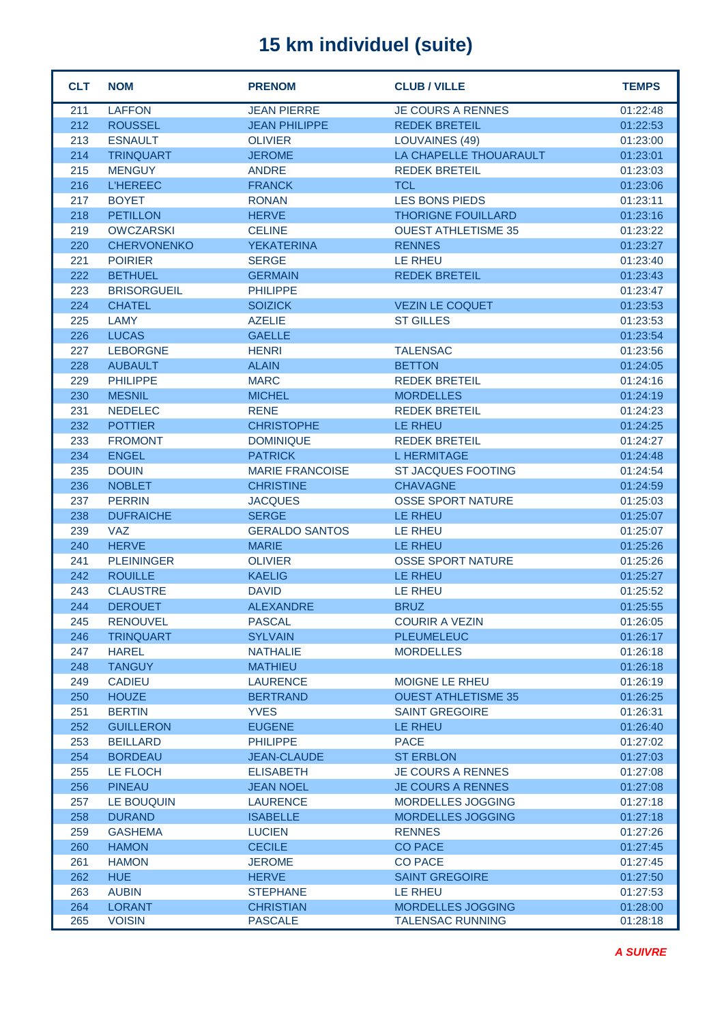| <b>CLT</b> | <b>NOM</b>         | <b>PRENOM</b>          | <b>CLUB / VILLE</b>        | <b>TEMPS</b> |
|------------|--------------------|------------------------|----------------------------|--------------|
| 211        | <b>LAFFON</b>      | <b>JEAN PIERRE</b>     | <b>JE COURS A RENNES</b>   | 01:22:48     |
| 212        | <b>ROUSSEL</b>     | <b>JEAN PHILIPPE</b>   | <b>REDEK BRETEIL</b>       | 01:22:53     |
| 213        | <b>ESNAULT</b>     | <b>OLIVIER</b>         | <b>LOUVAINES (49)</b>      | 01:23:00     |
| 214        | <b>TRINQUART</b>   | <b>JEROME</b>          | LA CHAPELLE THOUARAULT     | 01:23:01     |
| 215        | <b>MENGUY</b>      | <b>ANDRE</b>           | <b>REDEK BRETEIL</b>       | 01:23:03     |
| 216        | <b>L'HEREEC</b>    | <b>FRANCK</b>          | <b>TCL</b>                 | 01:23:06     |
| 217        | <b>BOYET</b>       | <b>RONAN</b>           | <b>LES BONS PIEDS</b>      | 01:23:11     |
| 218        | <b>PETILLON</b>    | <b>HERVE</b>           | <b>THORIGNE FOUILLARD</b>  | 01:23:16     |
| 219        | <b>OWCZARSKI</b>   | <b>CELINE</b>          | <b>OUEST ATHLETISME 35</b> | 01:23:22     |
| 220        | <b>CHERVONENKO</b> | <b>YEKATERINA</b>      | <b>RENNES</b>              | 01:23:27     |
| 221        | <b>POIRIER</b>     | <b>SERGE</b>           | LE RHEU                    | 01:23:40     |
| 222        | <b>BETHUEL</b>     | <b>GERMAIN</b>         | <b>REDEK BRETEIL</b>       | 01:23:43     |
| 223        | <b>BRISORGUEIL</b> | <b>PHILIPPE</b>        |                            | 01:23:47     |
| 224        | <b>CHATEL</b>      | <b>SOIZICK</b>         | <b>VEZIN LE COQUET</b>     | 01:23:53     |
| 225        | <b>LAMY</b>        | <b>AZELIE</b>          | <b>ST GILLES</b>           | 01:23:53     |
| 226        | <b>LUCAS</b>       | <b>GAELLE</b>          |                            | 01:23:54     |
| 227        | <b>LEBORGNE</b>    | <b>HENRI</b>           | <b>TALENSAC</b>            | 01:23:56     |
| 228        | <b>AUBAULT</b>     | <b>ALAIN</b>           | <b>BETTON</b>              | 01:24:05     |
| 229        | <b>PHILIPPE</b>    | <b>MARC</b>            | <b>REDEK BRETEIL</b>       | 01:24:16     |
| 230        | <b>MESNIL</b>      | <b>MICHEL</b>          | <b>MORDELLES</b>           | 01:24:19     |
| 231        | <b>NEDELEC</b>     | <b>RENE</b>            | <b>REDEK BRETEIL</b>       | 01:24:23     |
| 232        | <b>POTTIER</b>     | <b>CHRISTOPHE</b>      | LE RHEU                    | 01:24:25     |
| 233        | <b>FROMONT</b>     | <b>DOMINIQUE</b>       | <b>REDEK BRETEIL</b>       | 01:24:27     |
| 234        | <b>ENGEL</b>       | <b>PATRICK</b>         | <b>L HERMITAGE</b>         | 01:24:48     |
| 235        | <b>DOUIN</b>       | <b>MARIE FRANCOISE</b> | <b>ST JACQUES FOOTING</b>  | 01:24:54     |
| 236        | <b>NOBLET</b>      | <b>CHRISTINE</b>       | <b>CHAVAGNE</b>            | 01:24:59     |
| 237        | <b>PERRIN</b>      | <b>JACQUES</b>         | <b>OSSE SPORT NATURE</b>   | 01:25:03     |
| 238        | <b>DUFRAICHE</b>   | <b>SERGE</b>           | <b>LE RHEU</b>             | 01:25:07     |
| 239        | <b>VAZ</b>         | <b>GERALDO SANTOS</b>  | <b>LE RHEU</b>             | 01:25:07     |
| 240        | <b>HERVE</b>       | <b>MARIE</b>           | LE RHEU                    | 01:25:26     |
| 241        | <b>PLEININGER</b>  | <b>OLIVIER</b>         | <b>OSSE SPORT NATURE</b>   | 01:25:26     |
| 242        | <b>ROUILLE</b>     | <b>KAELIG</b>          | LE RHEU                    | 01:25:27     |
| 243        | <b>CLAUSTRE</b>    | <b>DAVID</b>           | LE RHEU                    | 01:25:52     |
| 244        | <b>DEROUET</b>     | <b>ALEXANDRE</b>       | <b>BRUZ</b>                | 01:25:55     |
| 245        | <b>RENOUVEL</b>    | <b>PASCAL</b>          | <b>COURIR A VEZIN</b>      | 01:26:05     |
| 246        | <b>TRINQUART</b>   | <b>SYLVAIN</b>         | <b>PLEUMELEUC</b>          | 01:26:17     |
| 247        | <b>HAREL</b>       | <b>NATHALIE</b>        | <b>MORDELLES</b>           | 01:26:18     |
| 248        | <b>TANGUY</b>      | <b>MATHIEU</b>         |                            | 01:26:18     |
| 249        | <b>CADIEU</b>      | <b>LAURENCE</b>        | MOIGNE LE RHEU             | 01:26:19     |
| 250        | <b>HOUZE</b>       | <b>BERTRAND</b>        | <b>OUEST ATHLETISME 35</b> | 01:26:25     |
| 251        | <b>BERTIN</b>      | <b>YVES</b>            | <b>SAINT GREGOIRE</b>      | 01:26:31     |
| 252        | <b>GUILLERON</b>   | <b>EUGENE</b>          | LE RHEU                    | 01:26:40     |
| 253        | <b>BEILLARD</b>    | <b>PHILIPPE</b>        | <b>PACE</b>                | 01:27:02     |
| 254        | <b>BORDEAU</b>     | <b>JEAN-CLAUDE</b>     | <b>ST ERBLON</b>           | 01:27:03     |
| 255        | LE FLOCH           | <b>ELISABETH</b>       | <b>JE COURS A RENNES</b>   | 01:27:08     |
| 256        | <b>PINEAU</b>      | <b>JEAN NOEL</b>       | <b>JE COURS A RENNES</b>   | 01:27:08     |
| 257        | LE BOUQUIN         | <b>LAURENCE</b>        | MORDELLES JOGGING          | 01:27:18     |
| 258        | <b>DURAND</b>      | <b>ISABELLE</b>        | MORDELLES JOGGING          | 01:27:18     |
| 259        | <b>GASHEMA</b>     | <b>LUCIEN</b>          | <b>RENNES</b>              | 01:27:26     |
| 260        | <b>HAMON</b>       | <b>CECILE</b>          | <b>CO PACE</b>             | 01:27:45     |
| 261        | <b>HAMON</b>       | <b>JEROME</b>          | <b>CO PACE</b>             | 01:27:45     |
| 262        | <b>HUE</b>         | <b>HERVE</b>           | <b>SAINT GREGOIRE</b>      | 01:27:50     |
| 263        | <b>AUBIN</b>       | <b>STEPHANE</b>        | LE RHEU                    | 01:27:53     |
| 264        | <b>LORANT</b>      | <b>CHRISTIAN</b>       | MORDELLES JOGGING          | 01:28:00     |
| 265        | <b>VOISIN</b>      | <b>PASCALE</b>         | <b>TALENSAC RUNNING</b>    | 01:28:18     |